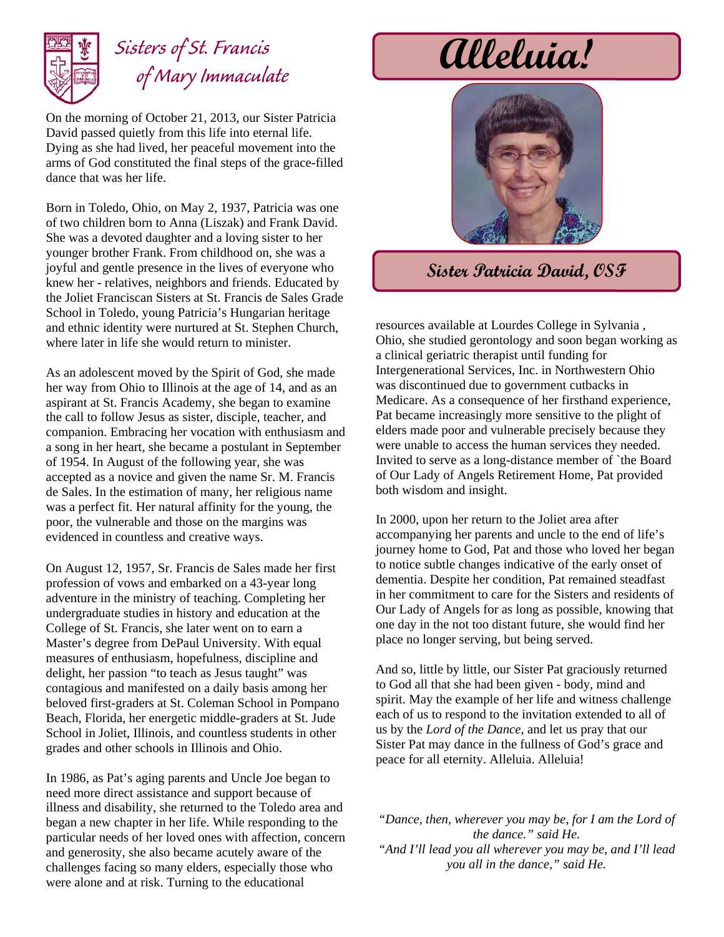

## Sisters of St. Francis **alleluia!**  *of Mary Immaculate*

On the morning of October 21, 2013, our Sister Patricia David passed quietly from this life into eternal life. Dying as she had lived, her peaceful movement into the arms of God constituted the final steps of the grace-filled dance that was her life.

Born in Toledo, Ohio, on May 2, 1937, Patricia was one of two children born to Anna (Liszak) and Frank David. She was a devoted daughter and a loving sister to her younger brother Frank. From childhood on, she was a joyful and gentle presence in the lives of everyone who knew her - relatives, neighbors and friends. Educated by the Joliet Franciscan Sisters at St. Francis de Sales Grade School in Toledo, young Patricia's Hungarian heritage and ethnic identity were nurtured at St. Stephen Church, where later in life she would return to minister.

As an adolescent moved by the Spirit of God, she made her way from Ohio to Illinois at the age of 14, and as an aspirant at St. Francis Academy, she began to examine the call to follow Jesus as sister, disciple, teacher, and companion. Embracing her vocation with enthusiasm and a song in her heart, she became a postulant in September of 1954. In August of the following year, she was accepted as a novice and given the name Sr. M. Francis de Sales. In the estimation of many, her religious name was a perfect fit. Her natural affinity for the young, the poor, the vulnerable and those on the margins was evidenced in countless and creative ways.

On August 12, 1957, Sr. Francis de Sales made her first profession of vows and embarked on a 43-year long adventure in the ministry of teaching. Completing her undergraduate studies in history and education at the College of St. Francis, she later went on to earn a Master's degree from DePaul University. With equal measures of enthusiasm, hopefulness, discipline and delight, her passion "to teach as Jesus taught" was contagious and manifested on a daily basis among her beloved first-graders at St. Coleman School in Pompano Beach, Florida, her energetic middle-graders at St. Jude School in Joliet, Illinois, and countless students in other grades and other schools in Illinois and Ohio.

In 1986, as Pat's aging parents and Uncle Joe began to need more direct assistance and support because of illness and disability, she returned to the Toledo area and began a new chapter in her life. While responding to the particular needs of her loved ones with affection, concern and generosity, she also became acutely aware of the challenges facing so many elders, especially those who were alone and at risk. Turning to the educational



## **Sister Patricia David, OSF**

resources available at Lourdes College in Sylvania , Ohio, she studied gerontology and soon began working as a clinical geriatric therapist until funding for Intergenerational Services, Inc. in Northwestern Ohio was discontinued due to government cutbacks in Medicare. As a consequence of her firsthand experience, Pat became increasingly more sensitive to the plight of elders made poor and vulnerable precisely because they were unable to access the human services they needed. Invited to serve as a long-distance member of `the Board of Our Lady of Angels Retirement Home, Pat provided both wisdom and insight.

In 2000, upon her return to the Joliet area after accompanying her parents and uncle to the end of life's journey home to God, Pat and those who loved her began to notice subtle changes indicative of the early onset of dementia. Despite her condition, Pat remained steadfast in her commitment to care for the Sisters and residents of Our Lady of Angels for as long as possible, knowing that one day in the not too distant future, she would find her place no longer serving, but being served.

And so, little by little, our Sister Pat graciously returned to God all that she had been given - body, mind and spirit. May the example of her life and witness challenge each of us to respond to the invitation extended to all of us by the *Lord of the Dance,* and let us pray that our Sister Pat may dance in the fullness of God's grace and peace for all eternity. Alleluia. Alleluia!

*"Dance, then, wherever you may be, for I am the Lord of the dance." said He. "And I'll lead you all wherever you may be, and I'll lead you all in the dance," said He.*